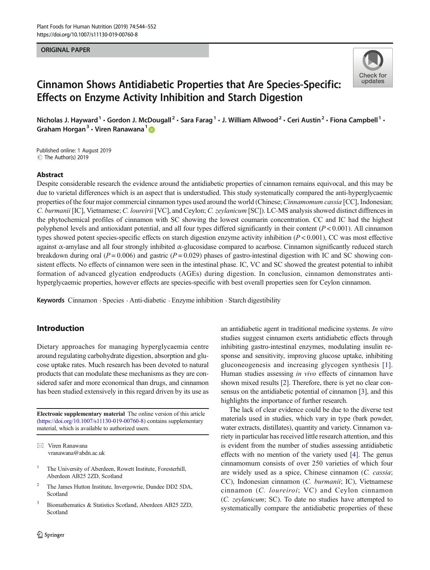#### ORIGINAL PAPER



# Cinnamon Shows Antidiabetic Properties that Are Species-Specific: Effects on Enzyme Activity Inhibition and Starch Digestion

Nicholas J. Hayward<sup>1</sup> • Gordon J. McDougall<sup>2</sup> • Sara Farag<sup>1</sup> • J. William Allwood<sup>2</sup> • Ceri Austin<sup>2</sup> • Fiona Campbell<sup>1</sup> • Graham Horgan<sup>3</sup>  $\cdot$  Viren Ranawana<sup>1</sup>

C The Author(s) 2019 Published online: 1 August 2019

#### Abstract

Despite considerable research the evidence around the antidiabetic properties of cinnamon remains equivocal, and this may be due to varietal differences which is an aspect that is understudied. This study systematically compared the anti-hyperglycaemic properties of the four major commercial cinnamon types used around the world (Chinese; Cinnamomum cassia [CC], Indonesian; C. burmanii [IC], Vietnamese; C. loureirii [VC], and Ceylon; C. zeylanicum [SC]). LC-MS analysis showed distinct diffrences in the phytochemical profiles of cinnamon with SC showing the lowest coumarin concentration. CC and IC had the highest polyphenol levels and antioxidant potential, and all four types differed significantly in their content  $(P < 0.001)$ . All cinnamon types showed potent species-specific effects on starch digestion enzyme activity inhibition  $(P < 0.001)$ , CC was most effective against α-amylase and all four strongly inhibited  $α$ -glucosidase compared to acarbose. Cinnamon significantly reduced starch breakdown during oral ( $P = 0.006$ ) and gastric ( $P = 0.029$ ) phases of gastro-intestinal digestion with IC and SC showing consistent effects. No effects of cinnamon were seen in the intestinal phase. IC, VC and SC showed the greatest potential to inhibit formation of advanced glycation endproducts (AGEs) during digestion. In conclusion, cinnamon demonstrates antihyperglycaemic properties, however effects are species-specific with best overall properties seen for Ceylon cinnamon.

Keywords Cinnamon . Species . Anti-diabetic . Enzyme inhibition . Starch digestibility

## Introduction

Dietary approaches for managing hyperglycaemia centre around regulating carbohydrate digestion, absorption and glucose uptake rates. Much research has been devoted to natural products that can modulate these mechanisms as they are considered safer and more economical than drugs, and cinnamon has been studied extensively in this regard driven by its use as

Electronic supplementary material The online version of this article (<https://doi.org/10.1007/s11130-019-00760-8>) contains supplementary material, which is available to authorized users.

- <sup>1</sup> The University of Aberdeen, Rowett Institute, Foresterhill, Aberdeen AB25 2ZD, Scotland
- <sup>2</sup> The James Hutton Institute, Invergowrie, Dundee DD2 5DA, Scotland
- <sup>3</sup> Biomathematics & Statistics Scotland, Aberdeen AB25 2ZD, Scotland

an antidiabetic agent in traditional medicine systems. In vitro studies suggest cinnamon exerts antidiabetic effects through inhibiting gastro-intestinal enzymes, modulating insulin response and sensitivity, improving glucose uptake, inhibiting gluconeogenesis and increasing glycogen synthesis [[1](#page-7-0)]. Human studies assessing in vivo effects of cinnamon have shown mixed results [\[2\]](#page-7-0). Therefore, there is yet no clear con-sensus on the antidiabetic potential of cinnamon [\[3](#page-7-0)], and this highlights the importance of further research.

The lack of clear evidence could be due to the diverse test materials used in studies, which vary in type (bark powder, water extracts, distillates), quantity and variety. Cinnamon variety in particular has received little research attention, and this is evident from the number of studies assessing antidiabetic effects with no mention of the variety used [\[4](#page-7-0)]. The genus cinnamomum consists of over 250 varieties of which four are widely used as a spice, Chinese cinnamon (C. cassia; CC), Indonesian cinnamon (C. burmanii; IC), Vietnamese cinnamon (C. loureiroi; VC) and Ceylon cinnamon (C. zeylanicum; SC). To date no studies have attempted to systematically compare the antidiabetic properties of these

 $\boxtimes$  Viren Ranawana [vranawana@abdn.ac.uk](mailto:vranawana@abdn.ac.uk)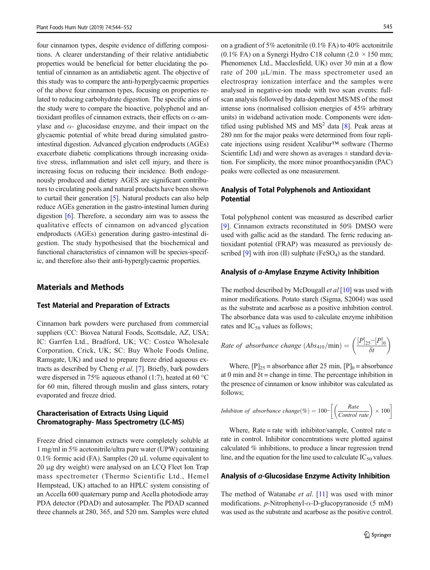four cinnamon types, despite evidence of differing compositions. A clearer understanding of their relative antidiabetic properties would be beneficial for better elucidating the potential of cinnamon as an antidiabetic agent. The objective of this study was to compare the anti-hyperglycaemic properties of the above four cinnamon types, focusing on properties related to reducing carbohydrate digestion. The specific aims of the study were to compare the bioactive, polyphenol and antioxidant profiles of cinnamon extracts, their effects on  $\alpha$ -amylase and  $\alpha$ - glucosidase enzyme, and their impact on the glycaemic potential of white bread during simulated gastrointestinal digestion. Advanced glycation endproducts (AGEs) exacerbate diabetic complications through increasing oxidative stress, inflammation and islet cell injury, and there is increasing focus on reducing their incidence. Both endogenously produced and dietary AGES are significant contributors to circulating pools and natural products have been shown to curtail their generation [\[5\]](#page-7-0). Natural products can also help reduce AGEs generation in the gastro-intestinal lumen during digestion [\[6](#page-7-0)]. Therefore, a secondary aim was to assess the qualitative effects of cinnamon on advanced glycation endproducts (AGEs) generation during gastro-intestinal digestion. The study hypothesised that the biochemical and functional characteristics of cinnamon will be species-specific, and therefore also their anti-hyperglycaemic properties.

## Materials and Methods

#### Test Material and Preparation of Extracts

Cinnamon bark powders were purchased from commercial suppliers (CC: Biovea Natural Foods, Scottsdale, AZ, USA; IC: Garrfen Ltd., Bradford, UK; VC: Costco Wholesale Corporation, Crick, UK; SC: Buy Whole Foods Online, Ramsgate, UK) and used to prepare freeze dried aqueous extracts as described by Cheng et al. [\[7](#page-7-0)]. Briefly, bark powders were dispersed in 75% aqueous ethanol (1:7), heated at 60 °C for 60 min, filtered through muslin and glass sinters, rotary evaporated and freeze dried.

### Characterisation of Extracts Using Liquid Chromatography- Mass Spectrometry (LC-MS)

Freeze dried cinnamon extracts were completely soluble at 1 mg/ml in 5% acetonitrile/ultra pure water (UPW) containing  $0.1\%$  formic acid (FA). Samples (20  $\mu$ L volume equivalent to 20 μg dry weight) were analysed on an LCQ Fleet Ion Trap mass spectrometer (Thermo Scientific Ltd., Hemel Hempstead, UK) attached to an HPLC system consisting of an Accella 600 quaternary pump and Acella photodiode array PDA detector (PDAD) and autosampler. The PDAD scanned three channels at 280, 365, and 520 nm. Samples were eluted

on a gradient of 5% acetonitrile (0.1% FA) to 40% acetonitrile (0.1% FA) on a Synergi Hydro C18 column (2.0  $\times$  150 mm; Phenomenex Ltd., Macclesfield, UK) over 30 min at a flow rate of 200 μL/min. The mass spectrometer used an electrospray ionization interface and the samples were analysed in negative-ion mode with two scan events: fullscan analysis followed by data-dependent MS/MS of the most intense ions (normalised collision energies of 45% arbitrary units) in wideband activation mode. Components were identified using published MS and  $MS<sup>2</sup>$  data [[8\]](#page-8-0). Peak areas at 280 nm for the major peaks were determined from four replicate injections using resident Xcalibur™ software (Thermo Scientific Ltd) and were shown as averages  $\pm$  standard deviation. For simplicity, the more minor proanthocyanidin (PAC) peaks were collected as one measurement.

## Analysis of Total Polyphenols and Antioxidant Potential

Total polyphenol content was measured as described earlier [\[9](#page-8-0)]. Cinnamon extracts reconstituted in 50% DMSO were used with gallic acid as the standard. The ferric reducing antioxidant potential (FRAP) was measured as previously described  $[9]$  $[9]$  with iron (II) sulphate (FeSO<sub>4</sub>) as the standard.

#### Analysis of α-Amylase Enzyme Activity Inhibition

The method described by McDougall *et al* [\[10](#page-8-0)] was used with minor modifications. Potato starch (Sigma, S2004) was used as the substrate and acarbose as a positive inhibition control. The absorbance data was used to calculate enzyme inhibition rates and  $IC_{50}$  values as follows;

Rate of absorbance change 
$$
(Abs_{410}/\text{min}) = \left(\frac{[P]_{25} - [P]_0}{\delta t}\right)
$$

Where,  $[P]_{25}$  = absorbance after 25 min,  $[P]_0$  = absorbance at 0 min and  $\delta t$  = change in time. The percentage inhibition in the presence of cinnamon or know inhibitor was calculated as follows;

*Inhibition of absorbance change*(%) = 
$$
100 - \left[ \left( \frac{Rate}{Control \ rate} \right) \times 100 \right]
$$

Where, Rate = rate with inhibitor/sample, Control rate = rate in control. Inhibitor concentrations were plotted against calculated % inhibitions, to produce a linear regression trend line, and the equation for the line used to calculate  $IC_{50}$  values.

#### Analysis of α-Glucosidase Enzyme Activity Inhibition

The method of Watanabe et al. [\[11](#page-8-0)] was used with minor modifications.  $p$ -Nitrophenyl- $\alpha$ -D-glucopyranoside (5 mM) was used as the substrate and acarbose as the positive control.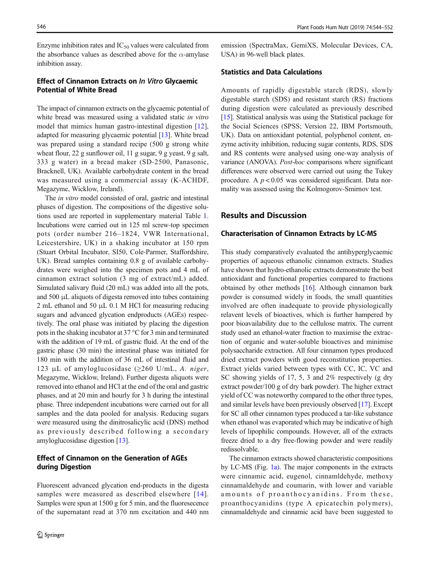Enzyme inhibition rates and  $IC_{50}$  values were calculated from the absorbance values as described above for the  $\alpha$ -amylase inhibition assay.

## Effect of Cinnamon Extracts on In Vitro Glycaemic Potential of White Bread

The impact of cinnamon extracts on the glycaemic potential of white bread was measured using a validated static in vitro model that mimics human gastro-intestinal digestion [\[12](#page-8-0)], adapted for measuring glycaemic potential [\[13\]](#page-8-0). White bread was prepared using a standard recipe (500 g strong white wheat flour, 22 g sunflower oil, 11 g sugar, 9 g yeast, 9 g salt, 333 g water) in a bread maker (SD-2500, Panasonic, Bracknell, UK). Available carbohydrate content in the bread was measured using a commercial assay (K-ACHDF, Megazyme, Wicklow, Ireland).

The *in vitro* model consisted of oral, gastric and intestinal phases of digestion. The compositions of the digestive solutions used are reported in supplementary material Table 1. Incubations were carried out in 125 ml screw-top specimen pots (order number 216–1824, VWR International, Leicestershire, UK) in a shaking incubator at 150 rpm (Stuart Orbital Incubator, SI50, Cole-Parmer, Staffordshire, UK). Bread samples containing 0.8 g of available carbohydrates were weighed into the specimen pots and 4 mL of cinnamon extract solution (3 mg of extract/mL) added. Simulated salivary fluid (20 mL) was added into all the pots, and 500 μL aliquots of digesta removed into tubes containing 2 mL ethanol and 50 μL 0.1 M HCl for measuring reducing sugars and advanced glycation endproducts (AGEs) respectively. The oral phase was initiated by placing the digestion pots in the shaking incubator at 37 °C for 3 min and terminated with the addition of 19 mL of gastric fluid. At the end of the gastric phase (30 min) the intestinal phase was initiated for 180 min with the addition of 36 mL of intestinal fluid and 123 μL of amyloglucosidase ( $\geq$ 260 U/mL, A. niger, Megazyme, Wicklow, Ireland). Further digesta aliquots were removed into ethanol and HCl at the end of the oral and gastric phases, and at 20 min and hourly for 3 h during the intestinal phase. Three independent incubations were carried out for all samples and the data pooled for analysis. Reducing sugars were measured using the dinitrosalicylic acid (DNS) method as previously described following a secondary amyloglucosidase digestion [\[13](#page-8-0)].

## Effect of Cinnamon on the Generation of AGEs during Digestion

Fluorescent advanced glycation end-products in the digesta samples were measured as described elsewhere [[14\]](#page-8-0). Samples were spun at 1500 g for 5 min, and the fluoresecence of the supernatant read at 370 nm excitation and 440 nm

emission (SpectraMax, GemiXS, Molecular Devices, CA, USA) in 96-well black plates.

#### Statistics and Data Calculations

Amounts of rapidly digestable starch (RDS), slowly digestable starch (SDS) and resistant starch (RS) fractions during digestion were calculated as previously described [\[15](#page-8-0)]. Statistical analysis was using the Statistical package for the Social Sciences (SPSS; Version 22, IBM Portsmouth, UK). Data on antioxidant potential, polyphenol content, enzyme activity inhibition, reducing sugar contents, RDS, SDS and RS contents were analysed using one-way analysis of variance (ANOVA). Post-hoc comparisons where significant differences were observed were carried out using the Tukey procedure. A  $p < 0.05$  was considered significant. Data normality was assessed using the Kolmogorov-Smirnov test.

## Results and Discussion

#### Characterisation of Cinnamon Extracts by LC-MS

This study comparatively evaluated the antihyperglycaemic properties of aqueous ethanolic cinnamon extracts. Studies have shown that hydro-ethanolic extracts demonstrate the best antioxidant and functional properties compared to fractions obtained by other methods [[16\]](#page-8-0). Although cinnamon bark powder is consumed widely in foods, the small quantities involved are often inadequate to provide physiologically relavent levels of bioactives, which is further hampered by poor bioavailability due to the cellulose matrix. The current study used an ethanol-water fraction to maximise the extraction of organic and water-soluble bioactives and minimise polysaccharide extraction. All four cinnamon types produced dried extract powders with good reconstitution properties. Extract yields varied between types with CC, IC, VC and SC showing yields of 17, 5, 3 and 2% respectively (g dry extract powder/100 g of dry bark powder). The higher extract yield of CC was noteworthy compared to the other three types, and similar levels have been previously observed [[17\]](#page-8-0). Except for SC all other cinnamon types produced a tar-like substance when ethanol was evaporated which may be indicative of high levels of lipophilic compounds. However, all of the extracts freeze dried to a dry free-flowing powder and were readily redissolvable.

The cinnamon extracts showed characteristic compositions by LC-MS (Fig. [1a\)](#page-3-0). The major components in the extracts were cinnamic acid, eugenol, cinnamldehyde, methoxy cinnamaldehyde and coumarin, with lower and variable amounts of proanthocyanidins. From these, proanthocyanidins (type A epicatechin polymers), cinnamaldehyde and cinnamic acid have been suggested to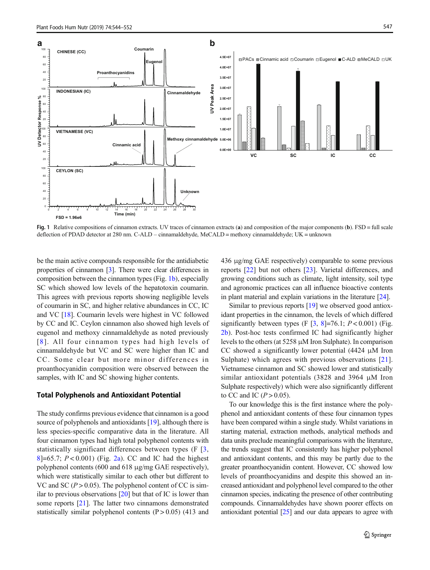<span id="page-3-0"></span>

Fig. 1 Relative compositions of cinnamon extracts. UV traces of cinnamon extracts (a) and composition of the major components (b). FSD = full scale deflection of PDAD detector at 280 nm. C-ALD – cinnamaldehyde, MeCALD = methoxy cinnamaldehyde; UK = unknown

be the main active compounds responsible for the antidiabetic properties of cinnamon [\[3](#page-7-0)]. There were clear differences in composition between the cinnamon types (Fig. 1b), especially SC which showed low levels of the hepatotoxin coumarin. This agrees with previous reports showing negligible levels of coumarin in SC, and higher relative abundances in CC, IC and VC [\[18\]](#page-8-0). Coumarin levels were highest in VC followed by CC and IC. Ceylon cinnamon also showed high levels of eugenol and methoxy cinnamaldehyde as noted previously [[8](#page-8-0)]. All four cinnamon types had high levels of cinnamaldehyde but VC and SC were higher than IC and CC. Some clear but more minor differences in proanthocyanidin composition were observed between the samples, with IC and SC showing higher contents.

#### Total Polyphenols and Antioxidant Potential

The study confirms previous evidence that cinnamon is a good source of polyphenols and antioxidants [\[19](#page-8-0)], although there is less species-specific comparative data in the literature. All four cinnamon types had high total polyphenol contents with statistically significant differences between types (F [\[3,](#page-7-0) [8](#page-8-0)]=65.7;  $P < 0.001$ ) (Fig. [2a\)](#page-4-0). CC and IC had the highest polyphenol contents (600 and 618 μg/mg GAE respectively), which were statistically similar to each other but different to VC and SC ( $P > 0.05$ ). The polyphenol content of CC is similar to previous observations  $[20]$  $[20]$  but that of IC is lower than some reports [[21](#page-8-0)]. The latter two cinnamons demonstrated statistically similar polyphenol contents  $(P > 0.05)$  (413 and 436 μg/mg GAE respectively) comparable to some previous reports [\[22](#page-8-0)] but not others [[23](#page-8-0)]. Varietal differences, and growing conditions such as climate, light intensity, soil type and agronomic practices can all influence bioactive contents in plant material and explain variations in the literature [[24](#page-8-0)].

Similar to previous reports [\[19\]](#page-8-0) we observed good antioxidant properties in the cinnamon, the levels of which differed significantly between types (F  $\lceil 3, 8 \rceil = 76.1$  $\lceil 3, 8 \rceil = 76.1$  $\lceil 3, 8 \rceil = 76.1$ ;  $P < 0.001$ ) (Fig. [2b](#page-4-0)). Post-hoc tests confirmed IC had significantly higher levels to the others (at 5258 μM Iron Sulphate). In comparison CC showed a significantly lower potential  $(4424 \mu M)$  Iron Sulphate) which agrees with previous observations [[21](#page-8-0)]. Vietnamese cinnamon and SC showed lower and statistically similar antioxidant potentials (3828 and 3964 μM Iron Sulphate respectively) which were also significantly different to CC and IC  $(P > 0.05)$ .

To our knowledge this is the first instance where the polyphenol and antioxidant contents of these four cinnamon types have been compared within a single study. Whilst variations in starting material, extraction methods, analytical methods and data units preclude meaningful comparisons with the literature, the trends suggest that IC consistently has higher polyphenol and antioxidant contents, and this may be partly due to the greater proanthocyanidin content. However, CC showed low levels of proanthocyanidins and despite this showed an increased antioxidant and polyphenol level compared to the other cinnamon species, indicating the presence of other contributing compounds. Cinnamaldehydes have shown poorer effects on antioxidant potential [[25](#page-8-0)] and our data appears to agree with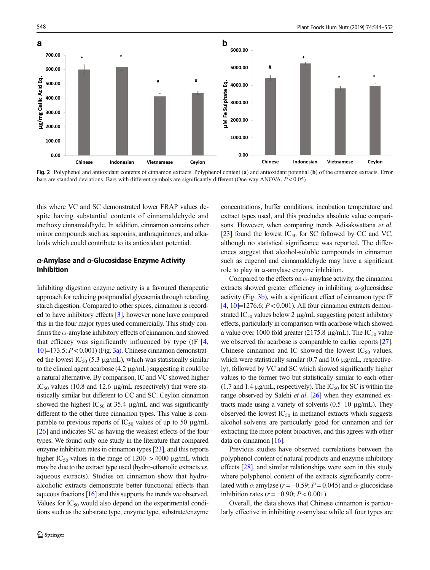<span id="page-4-0"></span>

Fig. 2 Polyphenol and antioxidant contents of cinnamon extracts. Polyphenol content (a) and antioxidant potential (b) of the cinnamon extracts. Error bars are standard deviations. Bars with different symbols are significantly different (One-way ANOVA, P < 0.05)

this where VC and SC demonstrated lower FRAP values despite having substantial contents of cinnamaldehyde and methoxy cinnamaldhyde. In addition, cinnamon contains other minor compounds such as, saponins, anthraquinones, and alkaloids which could contribute to its antioxidant potential.

## α-Amylase and α-Glucosidase Enzyme Activity Inhibition

Inhibiting digestion enzyme activity is a favoured therapeutic approach for reducing postprandial glycaemia through retarding starch digestion. Compared to other spices, cinnamon is recorded to have inhibitory effects [\[3](#page-7-0)], however none have compared this in the four major types used commercially. This study confirms the  $\alpha$ -amylase inhibitory effects of cinnamon, and showed that efficacy was significantly influenced by type  $((F \ 14,$  $((F \ 14,$  $10$ ]=173.5;  $P < 0.001$ ) (Fig. [3a](#page-5-0)). Chinese cinnamon demonstrated the lowest  $IC_{50}$  (5.3 µg/mL), which was statistically similar to the clinical agent acarbose (4.2 μg/mL) suggesting it could be a natural alternative. By comparison, IC and VC showed higher IC<sub>50</sub> values (10.8 and 12.6  $\mu$ g/mL respectively) that were statistically similar but different to CC and SC. Ceylon cinnamon showed the highest  $IC_{50}$  at 35.4  $\mu$ g/mL and was significantly different to the other three cinnamon types. This value is comparable to previous reports of  $IC_{50}$  values of up to 50  $\mu$ g/mL [\[26\]](#page-8-0) and indicates SC as having the weakest effects of the four types. We found only one study in the literature that compared enzyme inhibition rates in cinnamon types [[23](#page-8-0)], and this reports higher IC<sub>50</sub> values in the range of 1200->4000  $\mu$ g/mL which may be due to the extract type used (hydro-ethanolic extracts vs. aqueous extracts). Studies on cinnamon show that hydroalcoholic extracts demonstrate better functional effects than aqueous fractions [[16](#page-8-0)] and this supports the trends we observed. Values for  $IC_{50}$  would also depend on the experimental conditions such as the substrate type, enzyme type, substrate/enzyme concentrations, buffer conditions, incubation temperature and extract types used, and this precludes absolute value comparisons. However, when comparing trends Adisakwattana et al. [\[23\]](#page-8-0) found the lowest  $IC_{50}$  for SC followed by CC and VC, although no statistical significance was reported. The differences suggest that alcohol-soluble compounds in cinnamon such as eugenol and cinnamaldehyde may have a significant role to play in  $\alpha$ -amylase enzyme inhibition.

Compared to the effects on  $\alpha$ -amylase activity, the cinnamon extracts showed greater efficiency in inhibiting  $\alpha$ -glucosidase activity (Fig. [3b\)](#page-5-0), with a significant effect of cinnamon type (F [\[4,](#page-7-0) [10](#page-8-0)]=1276.6;  $P < 0.001$ ). All four cinnamon extracts demonstrated  $IC_{50}$  values below 2 μg/mL suggesting potent inhibitory effects, particularly in comparison with acarbose which showed a value over 1000 fold greater (2175.8  $\mu$ g/mL). The IC<sub>50</sub> value we observed for acarbose is comparable to earlier reports [\[27\]](#page-8-0). Chinese cinnamon and IC showed the lowest  $IC_{50}$  values, which were statistically similar (0.7 and 0.6 μg/mL, respectively), followed by VC and SC which showed significantly higher values to the former two but statistically similar to each other (1.7 and 1.4  $\mu$ g/mL, respectively). The IC<sub>50</sub> for SC is within the range observed by Salehi et al. [\[26](#page-8-0)] when they examined extracts made using a variety of solvents (0.5–10 μg/mL). They observed the lowest  $IC_{50}$  in methanol extracts which suggests alcohol solvents are particularly good for cinnamon and for extracting the more potent bioactives, and this agrees with other data on cinnamon [[16](#page-8-0)].

Previous studies have observed correlations between the polyphenol content of natural products and enzyme inhibitory effects [\[28](#page-8-0)], and similar relationships were seen in this study where polyphenol content of the extracts significantly correlated with  $\alpha$  amylase ( $r = -0.59$ ;  $P = 0.045$ ) and  $\alpha$ -glucosidase inhibition rates ( $r = -0.90$ ;  $P < 0.001$ ).

Overall, the data shows that Chinese cinnamon is particularly effective in inhibiting  $\alpha$ -amylase while all four types are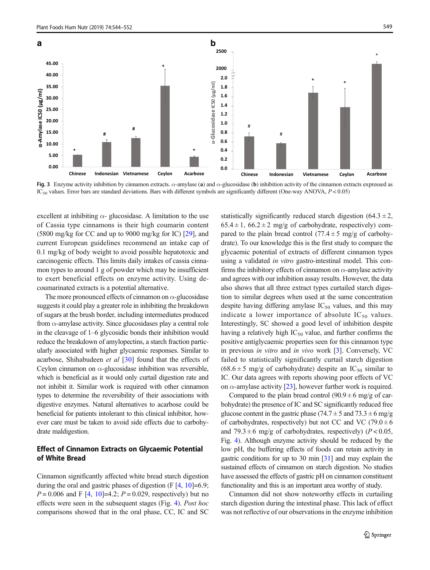<span id="page-5-0"></span>

Fig. 3 Enzyme activity inhibition by cinnamon extracts.  $\alpha$ -amylase (a) and  $\alpha$ -glucosidase (b) inhibition activity of the cinnamon extracts expressed as  $IC_{50}$  values. Error bars are standard deviations. Bars with different symbols are significantly different (One-way ANOVA,  $P < 0.05$ )

excellent at inhibiting  $\alpha$ - glucosidase. A limitation to the use of Cassia type cinnamons is their high coumarin content (5800 mg/kg for CC and up to 9000 mg/kg for IC) [[29\]](#page-8-0), and current European guidelines recommend an intake cap of 0.1 mg/kg of body weight to avoid possible hepatotoxic and carcinogenic effects. This limits daily intakes of cassia cinnamon types to around 1 g of powder which may be insufficient to exert beneficial effects on enzyme activity. Using decoumarinated extracts is a potential alternative.

The more pronounced effects of cinnamon on  $\alpha$ -glucosidase suggests it could play a greater role in inhibiting the breakdown of sugars at the brush border, including intermediates produced from  $\alpha$ -amylase activity. Since glucosidases play a central role in the cleavage of 1–6 glycosidic bonds their inhibition would reduce the breakdown of amylopectins, a starch fraction particularly associated with higher glycaemic responses. Similar to acarbose, Shihabudeen et al [[30\]](#page-8-0) found that the effects of Ceylon cinnamon on  $\alpha$ -glucosidase inhibition was reversible, which is beneficial as it would only curtail digestion rate and not inhibit it. Similar work is required with other cinnamon types to determine the reversibility of their associations with digestive enzymes. Natural alternatives to acarbose could be beneficial for patients intolerant to this clinical inhibitor, however care must be taken to avoid side effects due to carbohydrate maldigestion.

## Effect of Cinnamon Extracts on Glycaemic Potential of White Bread

Cinnamon significantly affected white bread starch digestion during the oral and gastric phases of digestion  $(F [4, 10] = 6.9;$  $(F [4, 10] = 6.9;$  $(F [4, 10] = 6.9;$  $(F [4, 10] = 6.9;$  $(F [4, 10] = 6.9;$  $P = 0.006$  and F [[4,](#page-7-0) [10](#page-8-0)]=4.2;  $P = 0.029$ , respectively) but no effects were seen in the subsequent stages (Fig. [4](#page-6-0)). Post hoc comparisons showed that in the oral phase, CC, IC and SC statistically significantly reduced starch digestion  $(64.3 \pm 2,$  $65.4 \pm 1$ ,  $66.2 \pm 2$  mg/g of carbohydrate, respectively) compared to the plain bread control  $(77.4 \pm 5 \text{ mg/g of carbohy}$ drate). To our knowledge this is the first study to compare the glycaemic potential of extracts of different cinnamon types using a validated in vitro gastro-intestinal model. This confirms the inhibitory effects of cinnamon on  $\alpha$ -amylase activity and agrees with our inhibition assay results. However, the data also shows that all three extract types curtailed starch digestion to similar degrees when used at the same concentration despite having differing amylase  $IC_{50}$  values, and this may indicate a lower importance of absolute  $IC_{50}$  values. Interestingly, SC showed a good level of inhibition despite having a relatively high  $IC_{50}$  value, and further confirms the positive antiglycaemic properties seen for this cinnamon type in previous in vitro and in vivo work [[3](#page-7-0)]. Conversely, VC failed to statistically significantly curtail starch digestion  $(68.6 \pm 5 \text{ mg/g of carbohydrate})$  despite an IC<sub>50</sub> similar to IC. Our data agrees with reports showing poor effects of VC on  $\alpha$ -amylase activity [\[23](#page-8-0)], however further work is required.

Compared to the plain bread control  $(90.9 \pm 6 \text{ mg/g of car-}$ bohydrate) the presence of IC and SC significantly reduced free glucose content in the gastric phase (74.7  $\pm$  5 and 73.3  $\pm$  6 mg/g of carbohydrates, respectively) but not CC and VC (79.0  $\pm$  6 and  $79.3 \pm 6$  mg/g of carbohydrates, respectively) ( $P < 0.05$ , Fig. [4\)](#page-6-0). Although enzyme activity should be reduced by the low pH, the buffering effects of foods can retain activity in gastric conditions for up to 30 min [[31](#page-8-0)] and may explain the sustained effects of cinnamon on starch digestion. No studies have assessed the effects of gastric pH on cinnamon constituent functionality and this is an important area worthy of study.

Cinnamon did not show noteworthy effects in curtailing starch digestion during the intestinal phase. This lack of effect was not reflective of our observations in the enzyme inhibition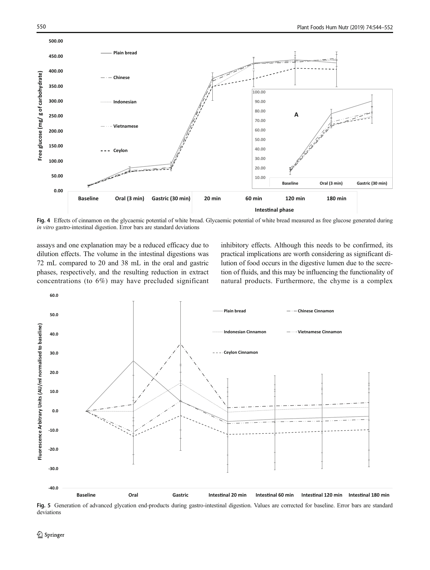<span id="page-6-0"></span>

Fig. 4 Effects of cinnamon on the glycaemic potential of white bread. Glycaemic potential of white bread measured as free glucose generated during in vitro gastro-intestinal digestion. Error bars are standard deviations

assays and one explanation may be a reduced efficacy due to dilution effects. The volume in the intestinal digestions was 72 mL compared to 20 and 38 mL in the oral and gastric phases, respectively, and the resulting reduction in extract concentrations (to 6%) may have precluded significant inhibitory effects. Although this needs to be confirmed, its practical implications are worth considering as significant dilution of food occurs in the digestive lumen due to the secretion of fluids, and this may be influencing the functionality of natural products. Furthermore, the chyme is a complex



Fig. 5 Generation of advanced glycation end-products during gastro-intestinal digestion. Values are corrected for baseline. Error bars are standard deviations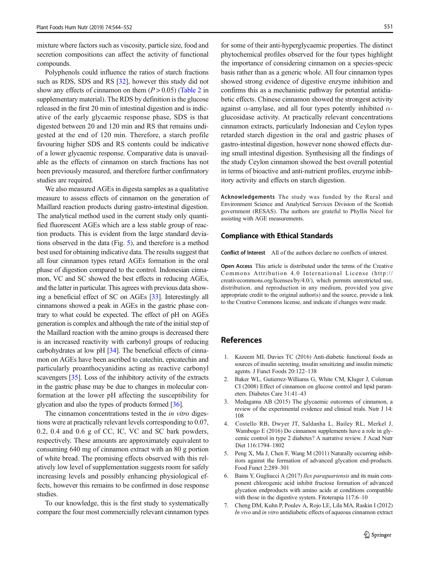<span id="page-7-0"></span>mixture where factors such as viscosity, particle size, food and secretion compositions can affect the activity of functional compounds.

Polyphenols could influence the ratios of starch fractions such as RDS, SDS and RS [[32](#page-8-0)], however this study did not show any effects of cinnamon on them  $(P > 0.05)$  (Table 2 in supplementary material). The RDS by definition is the glucose released in the first 20 min of intestinal digestion and is indicative of the early glycaemic response phase, SDS is that digested between 20 and 120 min and RS that remains undigested at the end of 120 min. Therefore, a starch profile favouring higher SDS and RS contents could be indicative of a lower glycaemic response. Comparative data is unavailable as the effects of cinnamon on starch fractions has not been previously measured, and therefore further confirmatory studies are required.

We also measured AGEs in digesta samples as a qualitative measure to assess effects of cinnamon on the generation of Maillard reaction products during gastro-intestinal digestion. The analytical method used in the current study only quantified fluorescent AGEs which are a less stable group of reaction products. This is evident from the large standard deviations observed in the data (Fig. [5\)](#page-6-0), and therefore is a method best used for obtaining indicative data. The results suggest that all four cinnamon types retard AGEs formation in the oral phase of digestion compared to the control. Indonesian cinnamon, VC and SC showed the best effects in reducing AGEs, and the latter in particular. This agrees with previous data showing a beneficial effect of SC on AGEs [\[33\]](#page-8-0). Interestingly all cinnamons showed a peak in AGEs in the gastric phase contrary to what could be expected. The effect of pH on AGEs generation is complex and although the rate of the initial step of the Maillard reaction with the amino groups is decreased there is an increased reactivity with carbonyl groups of reducing carbohydrates at low pH [[34](#page-8-0)]. The beneficial effects of cinnamon on AGEs have been ascribed to catechin, epicatechin and particularly proanthocyanidins acting as reactive carbonyl scavengers [[35](#page-8-0)]. Loss of the inhibitory activity of the extracts in the gastric phase may be due to changes in molecular conformation at the lower pH affecting the susceptibility for glycation and also the types of products formed [\[36\]](#page-8-0).

The cinnamon concentrations tested in the *in vitro* digestions were at practically relevant levels corresponding to 0.07, 0.2, 0.4 and 0.6 g of CC, IC, VC and SC bark powders, respectively. These amounts are approximately equivalent to consuming 640 mg of cinnamon extract with an 80 g portion of white bread. The promising effects observed with this relatively low level of supplementation suggests room for safely increasing levels and possibly enhancing physiological effects, however this remains to be confirmed in dose response studies.

To our knowledge, this is the first study to systematically compare the four most commercially relevant cinnamon types

for some of their anti-hyperglycaemic properties. The distinct phytochemical profiles observed for the four types highlight the importance of considering cinnamon on a species-specic basis rather than as a generic whole. All four cinnamon types showed strong evidence of digestive enzyme inhibition and confirms this as a mechanistic pathway for potential antidiabetic effects. Chinese cinnamon showed the strongest activity against  $\alpha$ -amylase, and all four types potently inhibited  $\alpha$ glucosidase activity. At practically relevant concentrations cinnamon extracts, particularly Indonesian and Ceylon types retarded starch digestion in the oral and gastric phases of gastro-intestinal digestion, however none showed effects during small intestinal digestion. Synthesising all the findings of the study Ceylon cinnamon showed the best overall potential in terms of bioactive and anti-nutrient profiles, enzyme inhibitory activity and effects on starch digestion.

Acknowledgements The study was funded by the Rural and Environment Science and Analytical Services Division of the Scottish government (RESAS). The authors are grateful to Phyllis Nicol for assisting with AGE measurements.

#### Compliance with Ethical Standards

Conflict of Interest All of the authors declare no conflicts of interest.

Open Access This article is distributed under the terms of the Creative Commons Attribution 4.0 International License (http:// creativecommons.org/licenses/by/4.0/), which permits unrestricted use, distribution, and reproduction in any medium, provided you give appropriate credit to the original author(s) and the source, provide a link to the Creative Commons license, and indicate if changes were made.

## References

- 1. Kazeem MI, Davies TC (2016) Anti-diabetic functional foods as sources of insulin secreting, insulin sensitizing and insulin mimetic agents. J Funct Foods 20:122–138
- 2. Baker WL, Gutierrez-Williams G, White CM, Kluger J, Coleman CI (2008) Effect of cinnamon on glucose control and lipid parameters. Diabetes Care 31:41–43
- 3. Medagama AB (2015) The glycaemic outcomes of cinnamon, a review of the experimental evidence and clinical trials. Nutr J 14: 108
- 4. Costello RB, Dwyer JT, Saldanha L, Bailey RL, Merkel J, Wambogo E (2016) Do cinnamon supplements have a role in glycemic control in type 2 diabetes? A narrative review. J Acad Nutr Diet 116:1794–1802
- 5. Peng X, Ma J, Chen F, Wang M (2011) Naturally occurring inhibitors against the formation of advanced glycation end-products. Food Funct 2:289–301
- 6. Bains Y, Gugliucci A (2017) Ilex paraguariensis and its main component chlorogenic acid inhibit fructose formation of advanced glycation endproducts with amino acids at conditions compatible with those in the digestive system. Fitoterapia 117:6–10
- 7. Cheng DM, Kuhn P, Poulev A, Rojo LE, Lila MA, Raskin I (2012) In vivo and in vitro antidiabetic effects of aqueous cinnamon extract